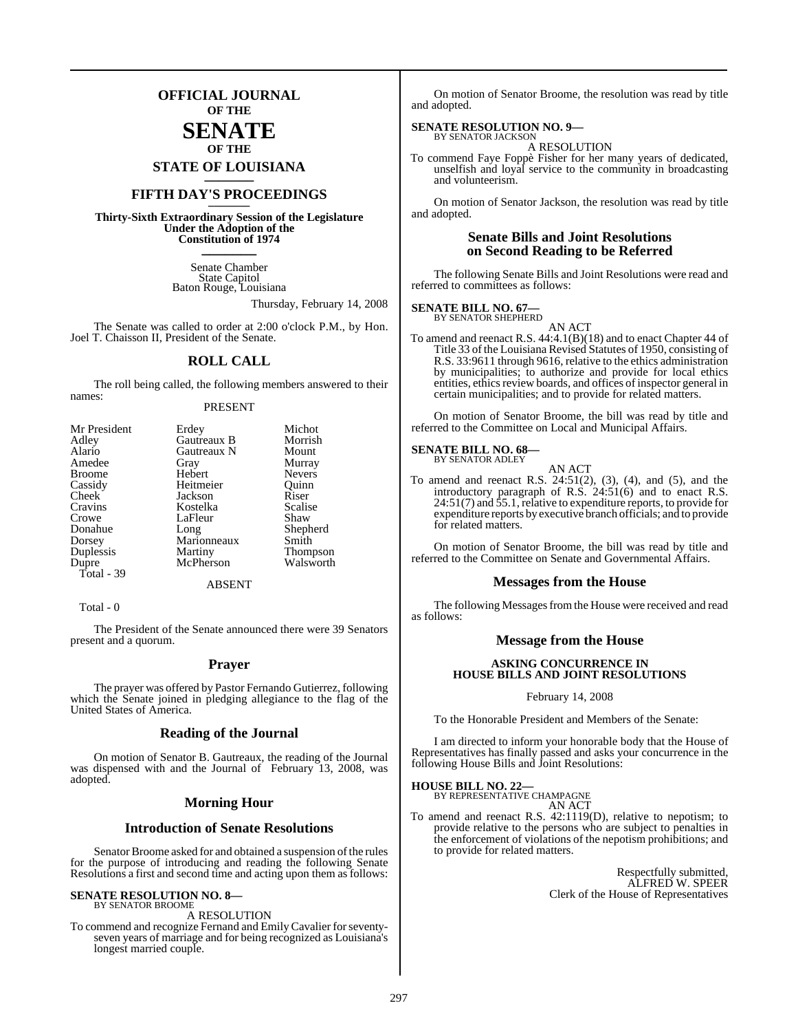### **OFFICIAL JOURNAL OF THE**

### **SENATE OF THE**

**STATE OF LOUISIANA \_\_\_\_\_\_\_**

## **FIFTH DAY'S PROCEEDINGS \_\_\_\_\_\_\_**

**Thirty-Sixth Extraordinary Session of the Legislature Under the Adoption of the Constitution of 1974 \_\_\_\_\_\_\_**

> Senate Chamber State Capitol Baton Rouge, Louisiana

> > Thursday, February 14, 2008

The Senate was called to order at 2:00 o'clock P.M., by Hon. Joel T. Chaisson II, President of the Senate.

### **ROLL CALL**

The roll being called, the following members answered to their names:

### PRESENT

| Mr President  | Erdey       | Michot          |
|---------------|-------------|-----------------|
| Adley         | Gautreaux B | Morrish         |
| Alario        | Gautreaux N | Mount           |
| Amedee        | Gray        | Murray          |
| <b>Broome</b> | Hebert      | <b>Nevers</b>   |
| Cassidy       | Heitmeier   | Ouinn           |
| Cheek         | Jackson     | Riser           |
| Cravins       | Kostelka    | Scalise         |
| Crowe         | LaFleur     | Shaw            |
| Donahue       | Long        | Shepherd        |
| Dorsey        | Marionneaux | Smith           |
| Duplessis     | Martiny     | <b>Thompson</b> |
| Dupre         | McPherson   | Walsworth       |
| Total - 39    |             |                 |
|               | ABSENT      |                 |

Total - 0

The President of the Senate announced there were 39 Senators present and a quorum.

### **Prayer**

The prayer was offered by Pastor Fernando Gutierrez, following which the Senate joined in pledging allegiance to the flag of the United States of America.

### **Reading of the Journal**

On motion of Senator B. Gautreaux, the reading of the Journal was dispensed with and the Journal of February 13, 2008, was adopted.

### **Morning Hour**

### **Introduction of Senate Resolutions**

Senator Broome asked for and obtained a suspension of the rules for the purpose of introducing and reading the following Senate Resolutions a first and second time and acting upon them as follows:

## **SENATE RESOLUTION NO. 8—** BY SENATOR BROOME

A RESOLUTION

To commend and recognize Fernand and EmilyCavalier forseventyseven years of marriage and for being recognized as Louisiana's longest married couple.

On motion of Senator Broome, the resolution was read by title and adopted.

### **SENATE RESOLUTION NO. 9—**

BY SENATOR JACKSON A RESOLUTION

To commend Faye Foppè Fisher for her many years of dedicated, unselfish and loyal service to the community in broadcasting and volunteerism.

On motion of Senator Jackson, the resolution was read by title and adopted.

### **Senate Bills and Joint Resolutions on Second Reading to be Referred**

The following Senate Bills and Joint Resolutions were read and referred to committees as follows:

### **SENATE BILL NO. 67—** BY SENATOR SHEPHERD

AN ACT

To amend and reenact R.S. 44:4.1(B)(18) and to enact Chapter 44 of Title 33 of the Louisiana Revised Statutes of 1950, consisting of R.S. 33:9611 through 9616, relative to the ethics administration by municipalities; to authorize and provide for local ethics entities, ethics review boards, and offices of inspector general in certain municipalities; and to provide for related matters.

On motion of Senator Broome, the bill was read by title and referred to the Committee on Local and Municipal Affairs.

### **SENATE BILL NO. 68—** BY SENATOR ADLEY

AN ACT

To amend and reenact R.S. 24:51(2), (3), (4), and (5), and the introductory paragraph of R.S. 24:51(6) and to enact R.S. 24:51(7) and 55.1, relative to expenditure reports, to provide for expenditure reports by executive branch officials; and to provide for related matters.

On motion of Senator Broome, the bill was read by title and referred to the Committee on Senate and Governmental Affairs.

### **Messages from the House**

The following Messages from the House were received and read as follows:

### **Message from the House**

### **ASKING CONCURRENCE IN HOUSE BILLS AND JOINT RESOLUTIONS**

### February 14, 2008

To the Honorable President and Members of the Senate:

I am directed to inform your honorable body that the House of Representatives has finally passed and asks your concurrence in the following House Bills and Joint Resolutions:

# **HOUSE BILL NO. 22—** BY REPRESENTATIVE CHAMPAGNE

AN ACT

To amend and reenact R.S. 42:1119(D), relative to nepotism; to provide relative to the persons who are subject to penalties in the enforcement of violations of the nepotism prohibitions; and to provide for related matters.

> Respectfully submitted, ALFRED W. SPEER Clerk of the House of Representatives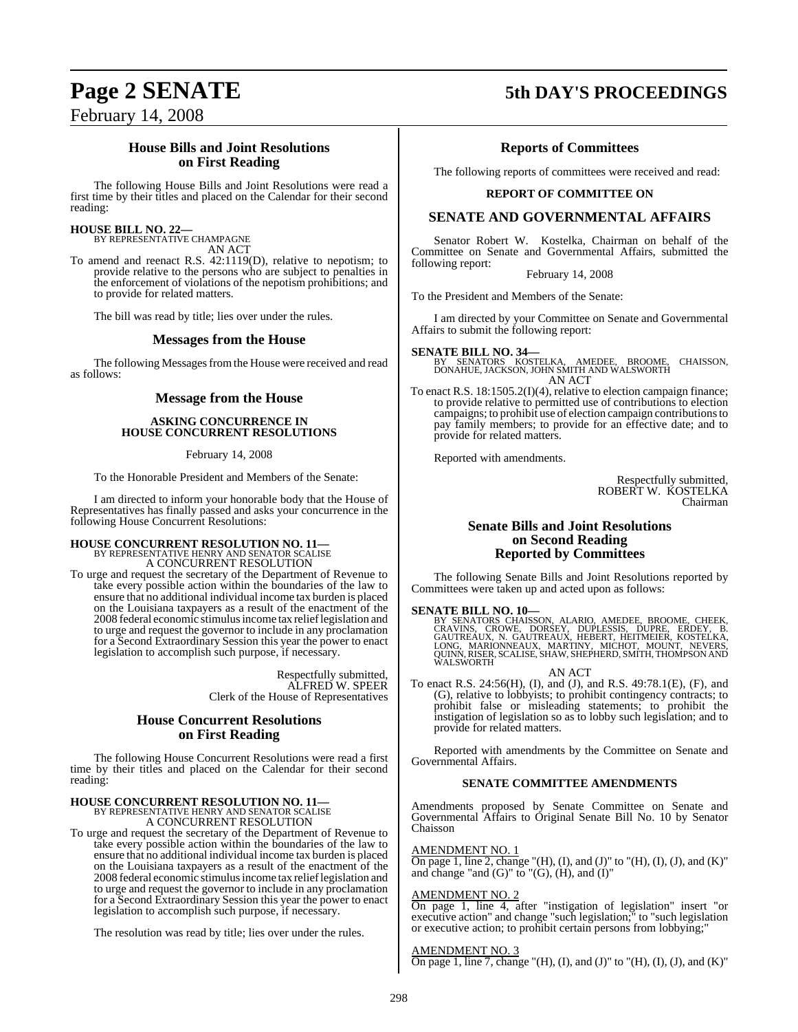# **Page 2 SENATE 5th DAY'S PROCEEDINGS**

February 14, 2008

### **House Bills and Joint Resolutions on First Reading**

The following House Bills and Joint Resolutions were read a first time by their titles and placed on the Calendar for their second reading:

## **HOUSE BILL NO. 22—**

BY REPRESENTATIVE CHAMPAGNE AN ACT

To amend and reenact R.S. 42:1119(D), relative to nepotism; to provide relative to the persons who are subject to penalties in the enforcement of violations of the nepotism prohibitions; and to provide for related matters.

The bill was read by title; lies over under the rules.

### **Messages from the House**

The following Messages from the House were received and read as follows:

### **Message from the House**

### **ASKING CONCURRENCE IN HOUSE CONCURRENT RESOLUTIONS**

February 14, 2008

To the Honorable President and Members of the Senate:

I am directed to inform your honorable body that the House of Representatives has finally passed and asks your concurrence in the following House Concurrent Resolutions:

# **HOUSE CONCURRENT RESOLUTION NO. 11—** BY REPRESENTATIVE HENRY AND SENATOR SCALISE A CONCURRENT RESOLUTION

To urge and request the secretary of the Department of Revenue to take every possible action within the boundaries of the law to ensure that no additional individual income tax burden is placed on the Louisiana taxpayers as a result of the enactment of the 2008 federal economic stimulusincome tax relieflegislation and to urge and request the governor to include in any proclamation for a Second Extraordinary Session this year the power to enact legislation to accomplish such purpose, if necessary.

> Respectfully submitted, ALFRED W. SPEER Clerk of the House of Representatives

### **House Concurrent Resolutions on First Reading**

The following House Concurrent Resolutions were read a first time by their titles and placed on the Calendar for their second reading:

# **HOUSE CONCURRENT RESOLUTION NO. 11—** BY REPRESENTATIVE HENRY AND SENATOR SCALISE

A CONCURRENT RESOLUTION

To urge and request the secretary of the Department of Revenue to take every possible action within the boundaries of the law to ensure that no additional individual income tax burden is placed on the Louisiana taxpayers as a result of the enactment of the 2008 federal economic stimulusincome tax relieflegislation and to urge and request the governor to include in any proclamation for a Second Extraordinary Session this year the power to enact legislation to accomplish such purpose, if necessary.

The resolution was read by title; lies over under the rules.

### **Reports of Committees**

The following reports of committees were received and read:

### **REPORT OF COMMITTEE ON**

### **SENATE AND GOVERNMENTAL AFFAIRS**

Senator Robert W. Kostelka, Chairman on behalf of the Committee on Senate and Governmental Affairs, submitted the following report:

February 14, 2008

To the President and Members of the Senate:

I am directed by your Committee on Senate and Governmental Affairs to submit the following report:

**SENATE BILL NO. 34—**<br>BY SENATORS KOSTELKA, AMEDEE, BROOME, CHAISSON,<br>DONAHUE, JACKSON, JOHN SMITH AND WALSWORTH AN ACT

To enact R.S. 18:1505.2(I)(4), relative to election campaign finance; to provide relative to permitted use of contributions to election campaigns; to prohibit use of election campaign contributionsto pay family members; to provide for an effective date; and to provide for related matters.

Reported with amendments.

Respectfully submitted, ROBERT W. KOSTELKA Chairman

### **Senate Bills and Joint Resolutions on Second Reading Reported by Committees**

The following Senate Bills and Joint Resolutions reported by Committees were taken up and acted upon as follows:

### **SENATE BILL NO. 10—**

BY SENATORS CHAISSON, ALARIO, AMEDEE, BROOME, CHEEK,<br>CRAVINS, CROWE, DORSEY, DUPLESSIS, DUPRE, ERDEY, B.<br>GAUTREAUX, N. GAUTREAUX, HEBERT, HEITMEIER, KOSTELKA,<br>LONG, MARIONNEAUX, MARTINY, MICHOT, MOUNT, NEVERS,<br>QUINN,RISER,

AN ACT

To enact R.S. 24:56(H), (I), and (J), and R.S. 49:78.1(E), (F), and (G), relative to lobbyists; to prohibit contingency contracts; to prohibit false or misleading statements; to prohibit the instigation of legislation so as to lobby such legislation; and to provide for related matters.

Reported with amendments by the Committee on Senate and Governmental Affairs.

### **SENATE COMMITTEE AMENDMENTS**

Amendments proposed by Senate Committee on Senate and Governmental Affairs to Original Senate Bill No. 10 by Senator Chaisson

### AMENDMENT NO. 1

On page 1, line 2, change "(H), (I), and (J)" to "(H), (I), (J), and (K)" and change "and  $(G)$ " to " $(G)$ ,  $(H)$ , and  $(I)$ "

### AMENDMENT NO. 2

On page 1, line 4, after "instigation of legislation" insert "or executive action" and change "such legislation;" to "such legislation or executive action; to prohibit certain persons from lobbying;"

### AMENDMENT NO. 3

On page 1, line 7, change "(H), (I), and (J)" to "(H), (I), (J), and (K)"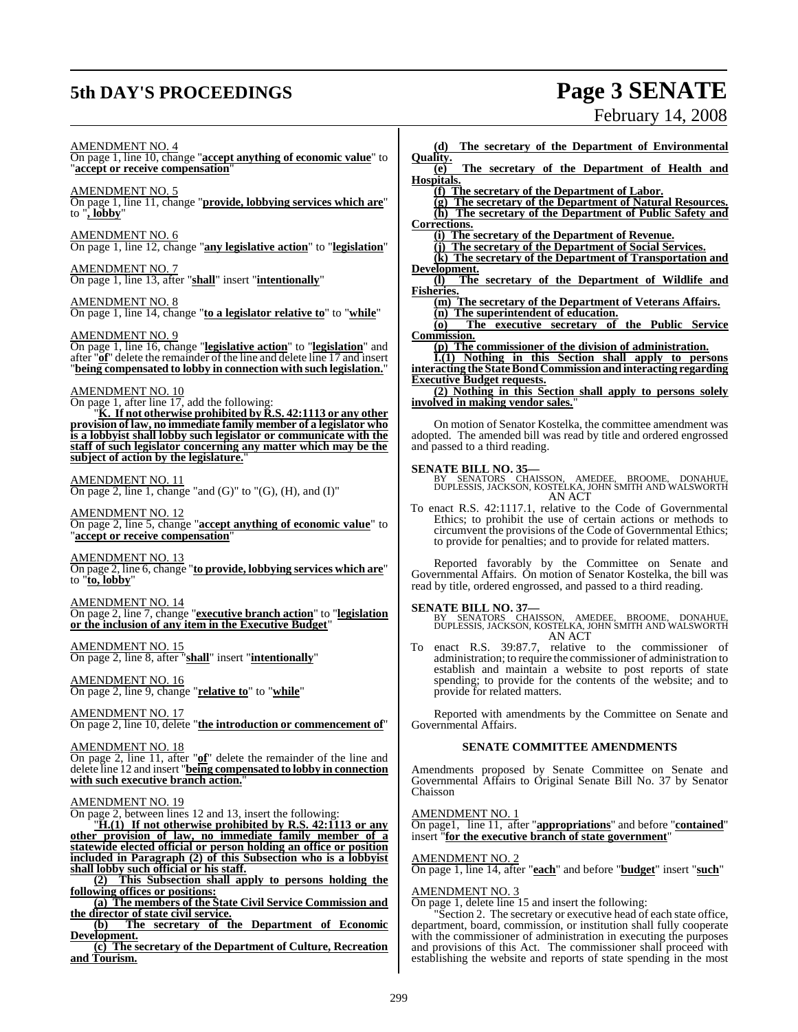# **5th DAY'S PROCEEDINGS Page 3 SENATE**

# February 14, 2008

AMENDMENT NO. 4

On page 1, line 10, change "**accept anything of economic value**" to "**accept or receive compensation**"

AMENDMENT NO. 5

On page 1, line 11, change "**provide, lobbying services which are**" to "**, lobby**"

AMENDMENT NO. 6 On page 1, line 12, change "**any legislative action**" to "**legislation**"

AMENDMENT NO. 7 On page 1, line 13, after "**shall**" insert "**intentionally**"

AMENDMENT NO. 8 On page 1, line 14, change "**to a legislator relative to**" to "**while**"

### AMENDMENT NO. 9

On page 1, line 16, change "**legislative action**" to "**legislation**" and after "**of**" delete the remainder of the line and delete line 17 and insert "**being compensated to lobby in connection with such legislation.**"

### AMENDMENT NO. 10

On page 1, after line 17, add the following:

K. If not otherwise prohibited by R.S. 42:1113 or any other **provision of law, no immediate family member of a legislator who is a lobbyist shall lobby such legislator or communicate with the staff of such legislator concerning any matter which may be the subject of action by the legislature.**"

### AMENDMENT NO. 11

On page 2, line 1, change "and  $(G)$ " to " $(G)$ ,  $(H)$ , and  $(I)$ "

AMENDMENT NO. 12 On page 2, line 5, change "**accept anything of economic value**" to "**accept or receive compensation**"

AMENDMENT NO. 13 On page 2, line 6, change "**to provide, lobbying services which are**" to "**to, lobby**"

AMENDMENT NO. 14 On page 2, line 7, change "**executive branch action**" to "**legislation or the inclusion of any item in the Executive Budget**"

AMENDMENT NO. 15 On page 2, line 8, after "**shall**" insert "**intentionally**"

AMENDMENT NO. 16 On page 2, line 9, change "**relative to**" to "**while**"

AMENDMENT NO. 17 On page 2, line 10, delete "**the introduction or commencement of**"

### AMENDMENT NO. 18

On page 2, line 11, after "**of**" delete the remainder of the line and delete line 12 and insert "**being compensated to lobby in connection with such executive branch action.**"

### AMENDMENT NO. 19

On page 2, between lines 12 and 13, insert the following:

"**H.(1) If not otherwise prohibited by R.S. 42:1113 or any other provision of law, no immediate family member of a statewide elected official or person holding an office or position included in Paragraph (2) of this Subsection who is a lobbyist shall lobby such official or his staff.**

**(2) This Subsection shall apply to persons holding the following offices or positions:**

**(a) The members of the State Civil Service Commission and the director of state civil service.**

**(b) The secretary of the Department of Economic Development.**

**(c) The secretary of the Department of Culture, Recreation and Tourism.**

**(d) The secretary of the Department of Environmental**  $\frac{\text{Quality.}}{(\text{e})}$ **(e) The secretary of the Department of Health and Hospitals. (f) The secretary of the Department of Labor. (g) The secretary of the Department of Natural Resources. (h) The secretary of the Department of Public Safety and Corrections. (i) The secretary of the Department of Revenue. (j) The secretary of the Department of Social Services. (k) The secretary of the Department of Transportation and Development. (l) The secretary of the Department of Wildlife and Fisheries. (m) The secretary of the Department of Veterans Affairs. (n) The superintendent of education. (o) The executive secretary of the Public Service Commission. (p) The commissioner of the division of administration. I.(1) Nothing in this Section shall apply to persons interacting the StateBondCommissionand interacting regarding Executive Budget requests. (2) Nothing in this Section shall apply to persons solely involved in making vendor sales.**"

On motion of Senator Kostelka, the committee amendment was adopted. The amended bill was read by title and ordered engrossed and passed to a third reading.

**SENATE BILL NO. 35—** BY SENATORS CHAISSON, AMEDEE, BROOME, DONAHUE, DUPLESSIS, JACKSON, KOSTELKA, JOHN SMITH AND WALSWORTH AN ACT

To enact R.S. 42:1117.1, relative to the Code of Governmental Ethics; to prohibit the use of certain actions or methods to circumvent the provisions of the Code of Governmental Ethics; to provide for penalties; and to provide for related matters.

Reported favorably by the Committee on Senate and Governmental Affairs. On motion of Senator Kostelka, the bill was read by title, ordered engrossed, and passed to a third reading.

**SENATE BILL NO. 37—**<br>BY SENATORS CHAISSON, AMEDEE, BROOME, DONAHUE,<br>DUPLESSIS, JACKSON, KOSTELKA, JOHN SMITH AND WALSWORTH AN ACT

To enact R.S. 39:87.7, relative to the commissioner of administration; to require the commissioner of administration to establish and maintain a website to post reports of state spending; to provide for the contents of the website; and to provide for related matters.

Reported with amendments by the Committee on Senate and Governmental Affairs.

### **SENATE COMMITTEE AMENDMENTS**

Amendments proposed by Senate Committee on Senate and Governmental Affairs to Original Senate Bill No. 37 by Senator Chaisson

### AMENDMENT NO. 1

On page1, line 11, after "**appropriations**" and before "**contained**" insert "**for the executive branch of state government**"

### AMENDMENT NO. 2

On page 1, line 14, after "**each**" and before "**budget**" insert "**such**"

AMENDMENT NO. 3 On page 1, delete line 15 and insert the following:

"Section 2. The secretary or executive head of each state office, department, board, commission, or institution shall fully cooperate with the commissioner of administration in executing the purposes and provisions of this Act. The commissioner shall proceed with establishing the website and reports of state spending in the most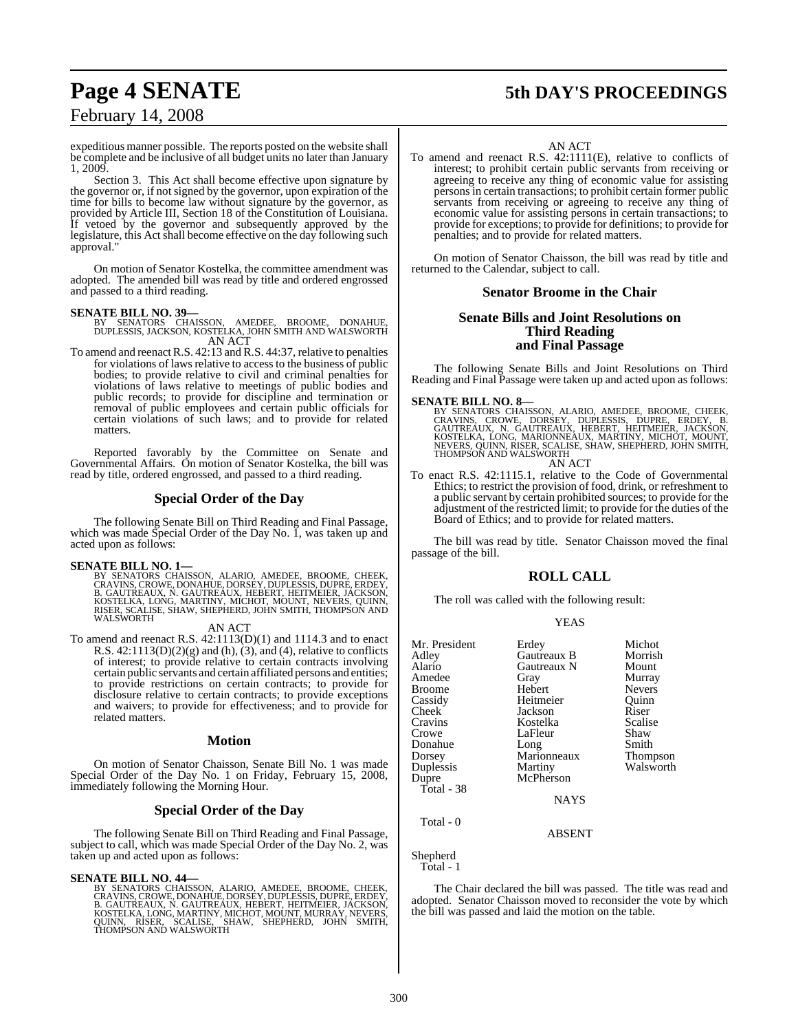### expeditious manner possible. The reports posted on the website shall be complete and be inclusive of all budget units no later than January 1, 2009.

Section 3. This Act shall become effective upon signature by the governor or, if not signed by the governor, upon expiration of the time for bills to become law without signature by the governor, as provided by Article III, Section 18 of the Constitution of Louisiana. If vetoed by the governor and subsequently approved by the legislature, this Act shall become effective on the day following such approval."

On motion of Senator Kostelka, the committee amendment was adopted. The amended bill was read by title and ordered engrossed and passed to a third reading.

- **SENATE BILL NO. 39—** BY SENATORS CHAISSON, AMEDEE, BROOME, DONAHUE, DUPLESSIS, JACKSON, KOSTELKA, JOHN SMITH AND WALSWORTH AN ACT
- To amend and reenact R.S. 42:13 and R.S. 44:37, relative to penalties for violations of laws relative to access to the business of public bodies; to provide relative to civil and criminal penalties for violations of laws relative to meetings of public bodies and public records; to provide for discipline and termination or removal of public employees and certain public officials for certain violations of such laws; and to provide for related matters.

Reported favorably by the Committee on Senate and Governmental Affairs. On motion of Senator Kostelka, the bill was read by title, ordered engrossed, and passed to a third reading.

### **Special Order of the Day**

The following Senate Bill on Third Reading and Final Passage, which was made Special Order of the Day No. I, was taken up and acted upon as follows:

SENATE BILL NO. 1—<br>BY SENATORS CHAISSON, ALARIO, AMEDEE, BROOME, CHEEK,<br>CRAVINS, CROWE, DONAHUE, DORSEY, DUPLESSIS, DUPRE, ERDEY,<br>CRAVINS, CROWE, DONAHUE, DORSEY, DUPLESSIS, DUPRE, ERDEY,<br>B. GAUTREAUX, N. GAUTREAUX, HEBERT

AN ACT

To amend and reenact R.S. 42:1113(D)(1) and 1114.3 and to enact R.S.  $42:1113(D)(2)(g)$  and (h), (3), and (4), relative to conflicts of interest; to provide relative to certain contracts involving certain public servants and certain affiliated persons and entities; to provide restrictions on certain contracts; to provide for disclosure relative to certain contracts; to provide exceptions and waivers; to provide for effectiveness; and to provide for related matters.

### **Motion**

On motion of Senator Chaisson, Senate Bill No. 1 was made Special Order of the Day No. 1 on Friday, February 15, 2008, immediately following the Morning Hour.

### **Special Order of the Day**

The following Senate Bill on Third Reading and Final Passage, subject to call, which was made Special Order of the Day No. 2, was taken up and acted upon as follows:

### **SENATE BILL NO. 44—**

BY SENATORS CHAISSON, ALARIO, AMEDEE, BROOME, CHEEK,<br>CRAVINS,CROWE,DONAHUE,DORSEY,DUPLESSIS,DUPRE,ERDEY,<br>B. GAUTREAUX, N. GAUTREAUX, HEBERT, HEITMEIER,JACKSON,<br>KOSTELKA,LONG,MARTINY,MICHOT,MOUNT,MURRAY,NEVERS,<br>QUINN, RISER

# **Page 4 SENATE 5th DAY'S PROCEEDINGS**

AN ACT

To amend and reenact R.S. 42:1111(E), relative to conflicts of interest; to prohibit certain public servants from receiving or agreeing to receive any thing of economic value for assisting personsin certain transactions; to prohibit certain former public servants from receiving or agreeing to receive any thing of economic value for assisting persons in certain transactions; to provide for exceptions; to provide for definitions; to provide for penalties; and to provide for related matters.

On motion of Senator Chaisson, the bill was read by title and returned to the Calendar, subject to call.

### **Senator Broome in the Chair**

### **Senate Bills and Joint Resolutions on Third Reading and Final Passage**

The following Senate Bills and Joint Resolutions on Third Reading and Final Passage were taken up and acted upon as follows:

### **SENATE BILL NO. 8—**

BY SENATORS CHAISSON, ALARIO, AMEDEE, BROOME, CHEEK,<br>CRAVINS, CROWE, DORSEY, DUPLESSIS, DUPRE, ERDEY, B.<br>GAUTREAUX, N. GAUTREAUX, HEBERT, HEITMEIER, JACKSON,<br>KOSTELKA, LONG, MARIONNEAUX, MARTINY, MICHOT, MOUNT,<br>NEVERS, QUI AN ACT

To enact R.S. 42:1115.1, relative to the Code of Governmental Ethics; to restrict the provision of food, drink, or refreshment to a public servant by certain prohibited sources; to provide for the adjustment of the restricted limit; to provide for the duties of the Board of Ethics; and to provide for related matters.

The bill was read by title. Senator Chaisson moved the final passage of the bill.

### **ROLL CALL**

The roll was called with the following result:

| v | I |
|---|---|
|---|---|

| Mr. President | Erdey       | Michot        |
|---------------|-------------|---------------|
| Adley         | Gautreaux B | Morrish       |
| Alario        | Gautreaux N | Mount         |
| Amedee        | Gray        | Murray        |
| Broome        | Hebert      | <b>Nevers</b> |
| Cassidy       | Heitmeier   | Quinn         |
| Cheek         | Jackson     | Riser         |
| Cravins       | Kostelka    | Scalise       |
| Crowe         | LaFleur     | Shaw          |
| Donahue       | Long        | Smith         |
| Dorsey        | Marionneaux | Thompson      |
| Duplessis     | Martiny     | Walsworth     |
| Dupre         | McPherson   |               |
| Total - 38    |             |               |
|               | <b>NAYS</b> |               |
| Total - 0     |             |               |

Shepherd

Total - 1

The Chair declared the bill was passed. The title was read and adopted. Senator Chaisson moved to reconsider the vote by which the bill was passed and laid the motion on the table.

ABSENT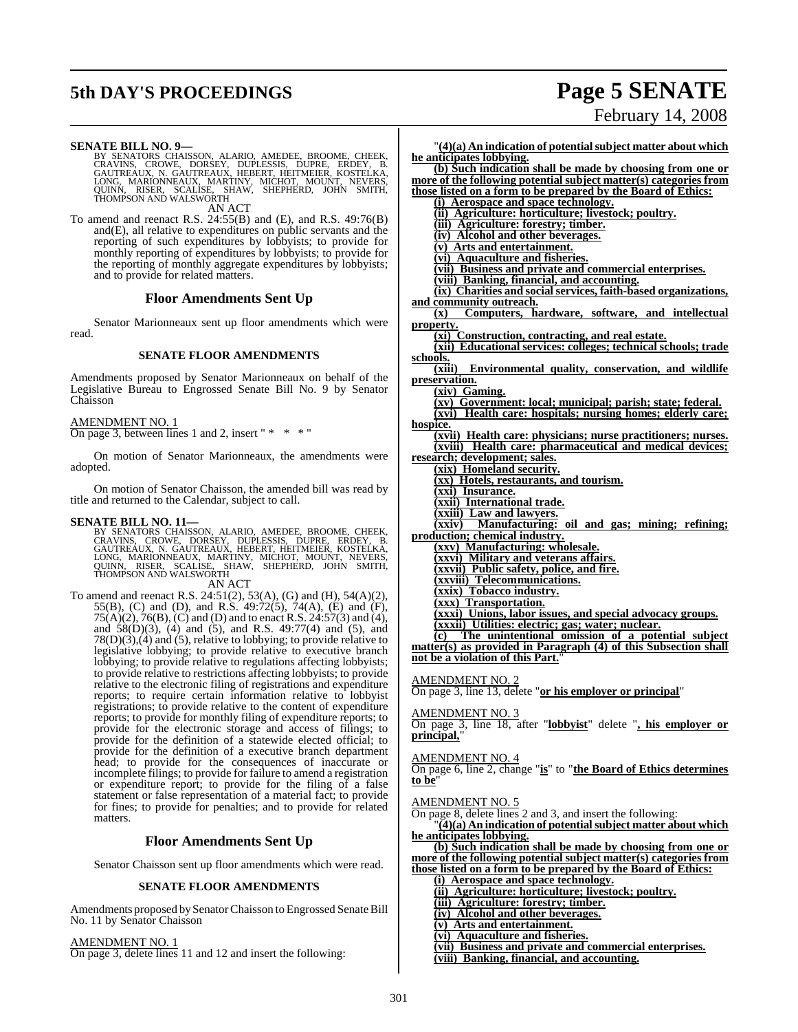# **5th DAY'S PROCEEDINGS Page 5 SENATE**

# February 14, 2008

- SENATE BILL NO. 9—<br>BY SENATORS CHAISSON, ALARIO, AMEDEE, BROOME, CHEEK,<br>CRAVINS, CROWE, DORSEY, DUPLESSIS, DUPRE, ERDEY, B.<br>GAUTREAUX, N. GAUTREAUX, HEBERT, HEITMEIER, KOSTELKA,<br>LONG, MARIONNEAUX, MARTINY, MICHOT, MOUNT, N AN ACT
- To amend and reenact R.S.  $24:55(B)$  and (E), and R.S.  $49:76(B)$ and(E), all relative to expenditures on public servants and the reporting of such expenditures by lobbyists; to provide for monthly reporting of expenditures by lobbyists; to provide for the reporting of monthly aggregate expenditures by lobbyists; and to provide for related matters.

### **Floor Amendments Sent Up**

Senator Marionneaux sent up floor amendments which were read.

### **SENATE FLOOR AMENDMENTS**

Amendments proposed by Senator Marionneaux on behalf of the Legislative Bureau to Engrossed Senate Bill No. 9 by Senator Chaisson

### AMENDMENT NO. 1

On page 3, between lines 1 and 2, insert "  $* * * "$ 

On motion of Senator Marionneaux, the amendments were adopted.

On motion of Senator Chaisson, the amended bill was read by title and returned to the Calendar, subject to call.

### **SENATE BILL NO. 11—**

BY SENATORS CHAISSON, ALARIO, AMEDEE, BROOME, CHEEK,<br>CRAVINS, CROWE, DORSEY, DUPLESSIS, DUPRE, ERDEY, B.<br>GAUTREAUX, N. GAUTREAUX, HEBERT, HEITMEIER, KOSTELKA,<br>LONG, MARIONNEAUX, MARTINY, MICHOT, MOUNT, NEVERS,<br>QUINN, RISER

AN ACT

To amend and reenact R.S. 24:51(2), 53(A), (G) and (H), 54(A)(2), 55(B), (C) and (D), and R.S. 49:72(5), 74(A), (E) and (F), 75(A)(2), 76(B), (C) and (D) and to enact R.S. 24:57(3) and (4), and 58(D)(3), (4) and (5), and R.S. 49:77(4) and (5), and 78(D)(3),(4) and (5), relative to lobbying; to provide relative to legislative lobbying; to provide relative to executive branch lobbying; to provide relative to regulations affecting lobbyists; to provide relative to restrictions affecting lobbyists; to provide relative to the electronic filing of registrations and expenditure reports; to require certain information relative to lobbyist registrations; to provide relative to the content of expenditure reports; to provide for monthly filing of expenditure reports; to provide for the electronic storage and access of filings; to provide for the definition of a statewide elected official; to provide for the definition of a executive branch department head; to provide for the consequences of inaccurate or incomplete filings; to provide for failure to amend a registration or expenditure report; to provide for the filing of a false statement or false representation of a material fact; to provide for fines; to provide for penalties; and to provide for related matters.

### **Floor Amendments Sent Up**

Senator Chaisson sent up floor amendments which were read.

### **SENATE FLOOR AMENDMENTS**

Amendments proposed by Senator Chaisson to Engrossed Senate Bill No. 11 by Senator Chaisson

AMENDMENT NO. 1 On page 3, delete lines 11 and 12 and insert the following:

"**(4)(a) An indication of potentialsubject matter about which he anticipates lobbying. (b) Such indication shall be made by choosing from one or more of the following potential subject matter(s) categories from those listed on a form to be prepared by the Board of Ethics: (i) Aerospace and space technology. (ii) Agriculture: horticulture; livestock; poultry. (iii) Agriculture: forestry; timber. (iv) Alcohol and other beverages. (v) Arts and entertainment. (vi) Aquaculture and fisheries. (vii) Business and private and commercial enterprises. (viii) Banking, financial, and accounting. (ix) Charities and social services, faith-based organizations, and community outreach.**<br>(x) **Computers**. **h** Computers, hardware, software, and intellectual **property. (xi) Construction, contracting, and real estate. (xii) Educational services: colleges; technical schools; trade** schools.<br>(xiii) **Environmental quality, conservation, and wildlife preservation. (xiv) Gaming. (xv) Government: local; municipal; parish; state; federal. (xvi) Health care: hospitals; nursing homes; elderly care; hospice. (xvii) Health care: physicians; nurse practitioners; nurses. (xviii) Health care: pharmaceutical and medical devices; research; development; sales. (xix) Homeland security. (xx) Hotels, restaurants, and tourism. (xxi) Insurance. (xxii) International trade. (xxiii) Law and lawyers. Manufacturing: oil and gas; mining; refining; production; chemical industry. (xxv) Manufacturing: wholesale. (xxvi) Military and veterans affairs. (xxvii) Public safety, police, and fire. (xxviii) Telecommunications. (xxix) Tobacco industry. (xxx) Transportation. (xxxi) Unions, labor issues, and special advocacy groups. (xxxii) Utilities: electric; gas; water; nuclear. (c) The unintentional omission of a potential subject matter(s) as provided in Paragraph (4) of this Subsection shall not be a violation of this Part.**"

### AMENDMENT NO. 2

On page 3, line 13, delete "**or his employer or principal**"

### AMENDMENT NO. 3

On page 3, line 18, after "**lobbyist**" delete "**, his employer or principal,**"

### AMENDMENT NO. 4

On page 6, line 2, change "**is**" to "**the Board of Ethics determines to be**"

### AMENDMENT NO. 5

On page 8, delete lines 2 and 3, and insert the following:

"**(4)(a) An indication of potentialsubject matter about which he anticipates lobbying.**

**(b) Such indication shall be made by choosing from one or more of the following potential subject matter(s) categories from**

- **those listed on a form to be prepared by the Board of Ethics: (i) Aerospace and space technology.**
	- **(ii) Agriculture: horticulture; livestock; poultry.**
	- **(iii) Agriculture: forestry; timber.**
	- **(iv) Alcohol and other beverages.**
	- **(v) Arts and entertainment.**
	- **(vi) Aquaculture and fisheries.**
	- **(vii) Business and private and commercial enterprises.**
	- **(viii) Banking, financial, and accounting.**

301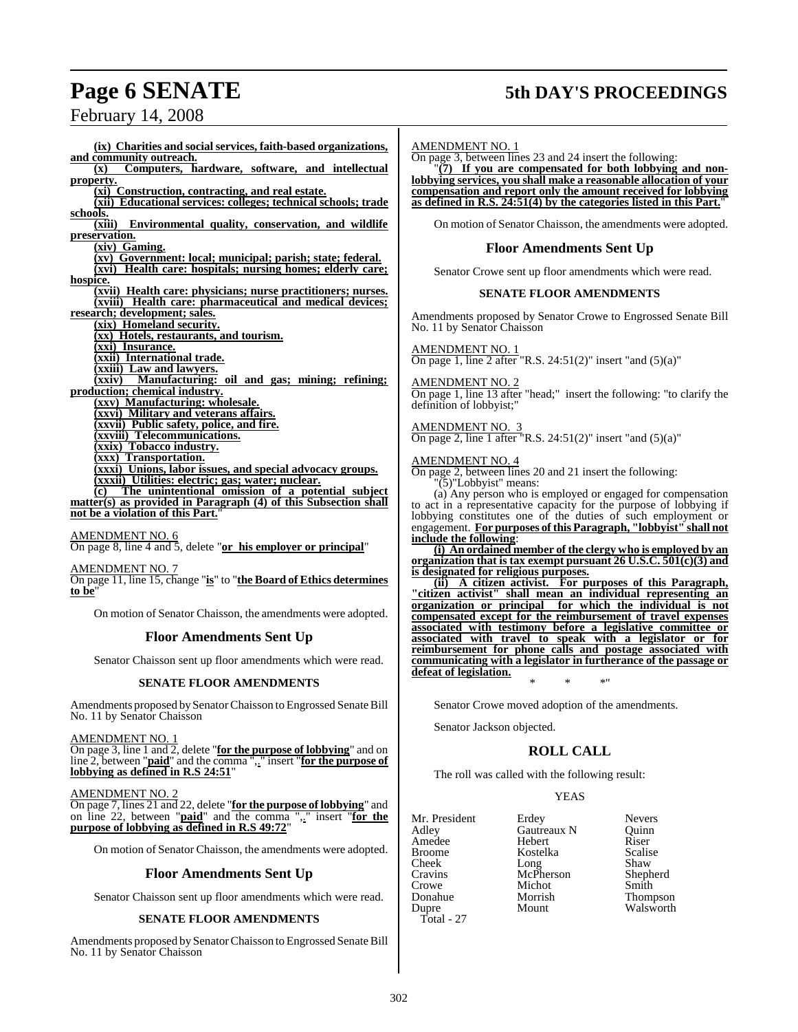# **Page 6 SENATE 5th DAY'S PROCEEDINGS**

February 14, 2008

**(ix) Charities and social services, faith-based organizations, and community outreach.**<br>(x) **Computers h Computers, hardware, software, and intellectual property. (xi) Construction, contracting, and real estate. (xii) Educational services: colleges; technical schools; trade schools. (xiii) Environmental quality, conservation, and wildlife preservation. (xiv) Gaming. (xv) Government: local; municipal; parish; state; federal. (xvi) Health care: hospitals; nursing homes; elderly care; hospice. (xvii) Health care: physicians; nurse practitioners; nurses. (xviii) Health care: pharmaceutical and medical devices; research; development; sales. (xix) Homeland security. (xx) Hotels, restaurants, and tourism. (xxi) Insurance. (xxii) International trade. (xxiii) Law and lawyers. (xxiv) Manufacturing: oil and gas; mining; refining; production; chemical industry. (xxv) Manufacturing: wholesale. (xxvi) Military and veterans affairs. (xxvii) Public safety, police, and fire. (xxviii) Telecommunications. (xxix) Tobacco industry. (xxx) Transportation. (xxxi) Unions, labor issues, and special advocacy groups. (xxxii) Utilities: electric; gas; water; nuclear. (c) The unintentional omission of a potential subject matter(s) as provided in Paragraph (4) of this Subsection shall** not be a violation of this Part.

AMENDMENT NO. 6 On page 8, line 4 and 5, delete "**or his employer or principal**"

AMENDMENT NO. 7

On page 11, line 15, change "**is**" to "**the Board of Ethics determines** to be

On motion of Senator Chaisson, the amendments were adopted.

### **Floor Amendments Sent Up**

Senator Chaisson sent up floor amendments which were read.

### **SENATE FLOOR AMENDMENTS**

Amendments proposed by Senator Chaisson to Engrossed Senate Bill No. 11 by Senator Chaisson

AMENDMENT NO. 1

On page 3, line 1 and 2, delete "**for the purpose of lobbying**" and on line 2, between "**paid**" and the comma ",." insert "**for the purpose of lobbying as defined in R.S 24:51**"

AMENDMENT NO. 2

On page 7, lines 21 and 22, delete "**for the purpose of lobbying**" and on line 22, between "**paid**" and the comma ",." insert "**for the purpose of lobbying as defined in R.S 49:72**"

On motion of Senator Chaisson, the amendments were adopted.

### **Floor Amendments Sent Up**

Senator Chaisson sent up floor amendments which were read.

### **SENATE FLOOR AMENDMENTS**

Amendments proposed by Senator Chaisson to Engrossed Senate Bill No. 11 by Senator Chaisson

AMENDMENT NO. 1

On page 3, between lines 23 and 24 insert the following:

"**(7) If you are compensated for both lobbying and nonlobbying services, you shall make a reasonable allocation of your compensation and report only the amount received for lobbying as defined in R.S. 24:51(4) by the categories listed in this Part.**"

On motion of Senator Chaisson, the amendments were adopted.

### **Floor Amendments Sent Up**

Senator Crowe sent up floor amendments which were read.

### **SENATE FLOOR AMENDMENTS**

Amendments proposed by Senator Crowe to Engrossed Senate Bill No. 11 by Senator Chaisson

### AMENDMENT NO. 1

On page 1, line 2 after "R.S. 24:51(2)" insert "and (5)(a)"

### AMENDMENT NO. 2

On page 1, line 13 after "head;" insert the following: "to clarify the definition of lobbyist;

### AMENDMENT NO. 3

On page 2, line 1 after "R.S. 24:51(2)" insert "and (5)(a)"

### AMENDMENT NO. 4

On page 2, between lines 20 and 21 insert the following: "(5)"Lobbyist" means:

(a) Any person who is employed or engaged for compensation to act in a representative capacity for the purpose of lobbying if lobbying constitutes one of the duties of such employment or engagement. **For purposes of this Paragraph, "lobbyist" shall not include the following**:

**(i) An ordained member of the clergy who is employed by an organization that is tax exempt pursuant 26 U.S.C. 501(c)(3) and is designated for religious purposes.**

**(ii) A citizen activist. For purposes of this Paragraph, "citizen activist" shall mean an individual representing an organization or principal for which the individual is not compensated except for the reimbursement of travel expenses associated with testimony before a legislative committee or associated with travel to speak with a legislator or for reimbursement for phone calls and postage associated with communicating with a legislator in furtherance of the passage or defeat of legislation.**

\* \* \*"

Senator Crowe moved adoption of the amendments.

Senator Jackson objected.

### **ROLL CALL**

The roll was called with the following result:

**YEAS** 

| Mr. President | Erdey       | <b>Nevers</b> |
|---------------|-------------|---------------|
| Adley         | Gautreaux N | Ouinn         |
| Amedee        | Hebert      | Riser         |
| <b>Broome</b> | Kostelka    | Scalise       |
| Cheek         | Long        | Shaw          |
| Cravins       | McPherson   | Shepherd      |
| Crowe         | Michot      | Smith         |
| Donahue       | Morrish     | Thompson      |
| Dupre         | Mount       | Walsworth     |
| Total - 27    |             |               |

302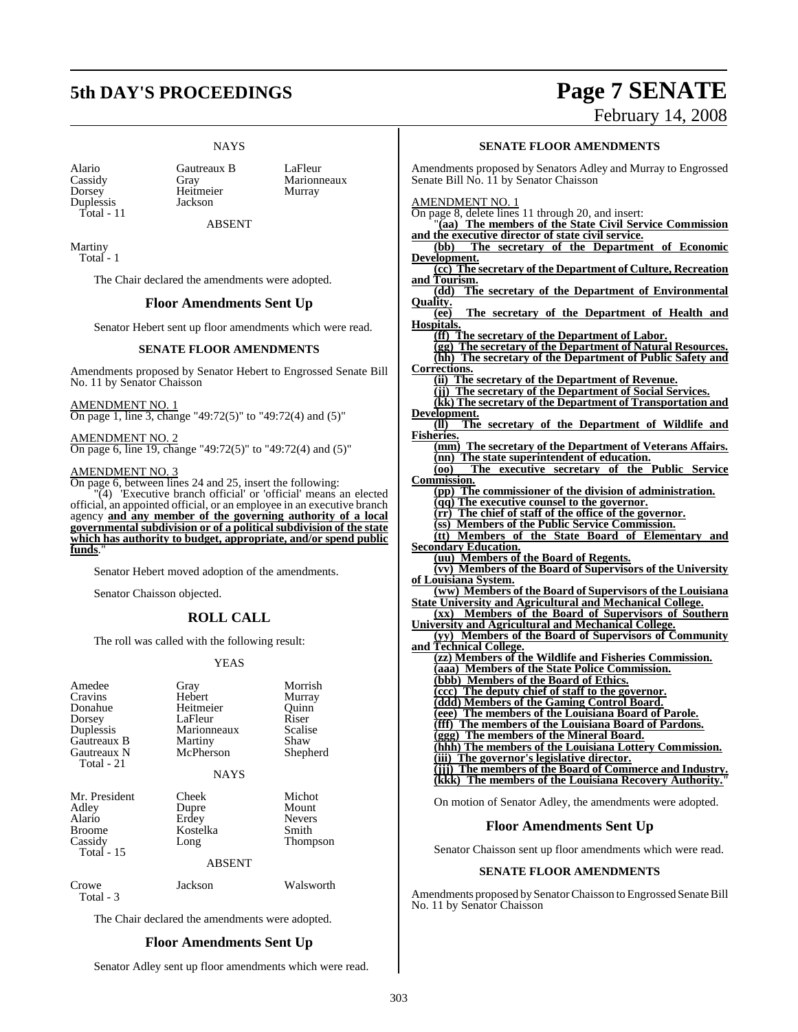# **5th DAY'S PROCEEDINGS Page 7 SENATE**

### **NAYS**

Duplessis Total - 11

Alario Gautreaux B LaFleur<br>Cassidy Gray Marionn Cassidy Gray Marionneaux<br>
Dorsey Heitmeier Murray Heitmeier<br>Jackson

ABSENT

Martiny Total - 1

The Chair declared the amendments were adopted.

### **Floor Amendments Sent Up**

Senator Hebert sent up floor amendments which were read.

### **SENATE FLOOR AMENDMENTS**

Amendments proposed by Senator Hebert to Engrossed Senate Bill No. 11 by Senator Chaisson

AMENDMENT NO. 1 On page 1, line 3, change "49:72(5)" to "49:72(4) and (5)"

AMENDMENT NO. 2 On page 6, line 19, change "49:72(5)" to "49:72(4) and (5)"

### AMENDMENT NO. 3

On page 6, between lines 24 and 25, insert the following:

"(4) 'Executive branch official' or 'official' means an elected official, an appointed official, or an employee in an executive branch agency **and any member of the governing authority of a local governmental subdivision or of a political subdivision of the state which has authority to budget, appropriate, and/or spend public** funds.

Senator Hebert moved adoption of the amendments.

Senator Chaisson objected.

### **ROLL CALL**

The roll was called with the following result:

### YEAS

| Amedee<br>Cravins<br>Donahue<br>Dorsey<br>Duplessis<br>Gautreaux B<br>Gautreaux N<br>Total - 21 | Gray<br>Hebert<br>Heitmeier<br>LaFleur<br>Marionneaux<br>Martiny<br>McPherson<br><b>NAYS</b> | Morrish<br>Murray<br>Quinn<br>Riser<br>Scalise<br>Shaw<br>Shepherd |
|-------------------------------------------------------------------------------------------------|----------------------------------------------------------------------------------------------|--------------------------------------------------------------------|
| Mr. President<br>Adley<br>Alario<br>Broome<br>Cassidy<br>Total $-15$                            | Cheek<br>Dupre<br>Erdey<br>Kostelka<br>Long<br><b>ABSENT</b>                                 | Michot<br>Mount<br><b>Nevers</b><br>Smith<br>Thompson              |
| Crowe<br>Total - 3                                                                              | Jackson                                                                                      | Walsworth                                                          |

The Chair declared the amendments were adopted.

### **Floor Amendments Sent Up**

Senator Adley sent up floor amendments which were read.

### **SENATE FLOOR AMENDMENTS**

Amendments proposed by Senators Adley and Murray to Engrossed Senate Bill No. 11 by Senator Chaisson

AMENDMENT NO. 1

On page 8, delete lines 11 through 20, and insert:

"**(aa) The members of the State Civil Service Commission and the executive director of state civil service.**

**(bb) The secretary of the Department of Economic Development.**

**(cc) The secretary of the Department of Culture, Recreation and Tourism.**

**(dd) The secretary of the Department of Environmental Quality.**

**(ee) The secretary of the Department of Health and Hospitals.**

**(ff) The secretary of the Department of Labor. (gg) The secretary of the Department of Natural Resources. (hh) The secretary of the Department of Public Safety and**

**Corrections. (ii) The secretary of the Department of Revenue. (jj) The secretary of the Department of Social Services. (kk) The secretary of the Department of Transportation and** Development.<br>(II) The secretary of the Department of Wildlife and

**Fisheries. (mm) The secretary of the Department of Veterans Affairs. (nn) The state superintendent of education. (oo) The executive secretary of the Public Service**

**Commission. (pp) The commissioner of the division of administration. (qq) The executive counsel to the governor. (rr) The chief of staff of the office of the governor. (ss) Members of the Public Service Commission. (tt) Members of the State Board of Elementary and Secondary Education.**

**(uu) Members of the Board of Regents. (vv) Members of the Board of Supervisors of the University**

**of Louisiana System. (ww) Members of the Board of Supervisors of the Louisiana State University and Agricultural and Mechanical College. (xx) Members of the Board of Supervisors of Southern University and Agricultural and Mechanical College.**

**(yy) Members of the Board of Supervisors of Community and Technical College.**

| (zz) Members of the Wildlife and Fisheries Commission. |
|--------------------------------------------------------|
| (aaa) Members of the State Police Commission.          |
| Members of the Board of Ethics.                        |
| (ccc) The deputy chief of staff to the governor.       |
| (ddd) Members of the Gaming Control Board.             |
| (eee) The members of the Louisiana Board of Parole.    |
| (fff) The members of the Louisiana Board of Pardons.   |
| (ggg) The members of the Mineral Board.                |
| (hhh) The members of the Louisiana Lottery Commission. |
| The governor's legislative director.                   |
| The members of the Board of Commerce and Industry.     |
| kkk) The members of the Louisiana Recovery Authority." |

On motion of Senator Adley, the amendments were adopted.

### **Floor Amendments Sent Up**

Senator Chaisson sent up floor amendments which were read.

### **SENATE FLOOR AMENDMENTS**

Amendments proposed bySenatorChaisson to Engrossed Senate Bill No. 11 by Senator Chaisson

February 14, 2008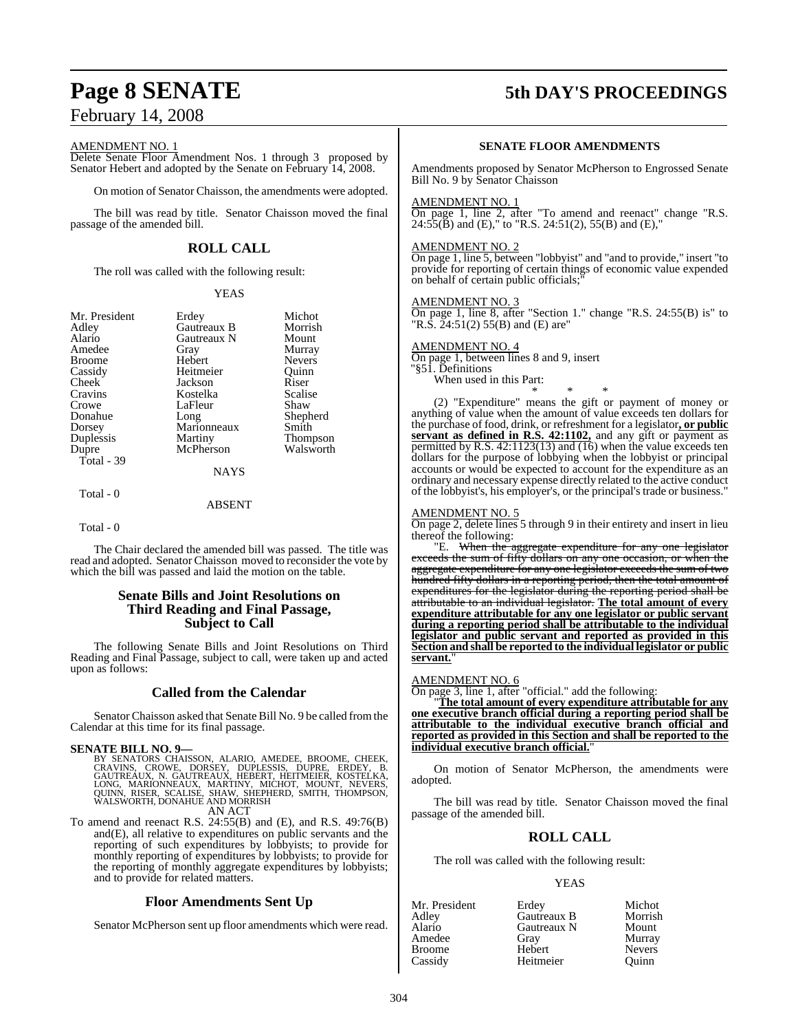### AMENDMENT NO. 1

Delete Senate Floor Amendment Nos. 1 through 3 proposed by Senator Hebert and adopted by the Senate on February 14, 2008.

On motion of Senator Chaisson, the amendments were adopted.

The bill was read by title. Senator Chaisson moved the final passage of the amended bill.

### **ROLL CALL**

The roll was called with the following result:

### YEAS

| Mr. President | Erdey       | Michot          |
|---------------|-------------|-----------------|
| Adley         | Gautreaux B | Morrish         |
| Alario        | Gautreaux N | Mount           |
| Amedee        | Gray        | Murray          |
| <b>Broome</b> | Hebert      | <b>Nevers</b>   |
| Cassidy       | Heitmeier   | Ouinn           |
| Cheek         | Jackson     | Riser           |
| Cravins       | Kostelka    | Scalise         |
| Crowe         | LaFleur     | Shaw            |
| Donahue       | Long        | Shepherd        |
| Dorsey        | Marionneaux | Smith           |
| Duplessis     | Martiny     | <b>Thompson</b> |
| Dupre         | McPherson   | Walsworth       |
| Total - 39    |             |                 |
|               | <b>NAYS</b> |                 |
|               |             |                 |

### ABSENT

Total - 0

Total - 0

The Chair declared the amended bill was passed. The title was read and adopted. Senator Chaisson moved to reconsider the vote by which the bill was passed and laid the motion on the table.

### **Senate Bills and Joint Resolutions on Third Reading and Final Passage, Subject to Call**

The following Senate Bills and Joint Resolutions on Third Reading and Final Passage, subject to call, were taken up and acted upon as follows:

### **Called from the Calendar**

Senator Chaisson asked that Senate Bill No. 9 be called fromthe Calendar at this time for its final passage.

### **SENATE BILL NO. 9—**

BY SENATORS CHAISSON, ALARIO, AMEDEE, BROOME, CHEEK,<br>CRAVINS, CROWE, DORSEY, DUPLESSIS, DUPRE, ERDEY, B.<br>GAUTREAUX, N. GAUTREAUX, HEBERT, HEITMEIER, KOSTELKA,<br>LONG, MARIONNEAUX, MARTINY, MICHOT, MOUNT, NEVERS,<br>QUINN, RISER AN ACT

To amend and reenact R.S. 24:55(B) and (E), and R.S. 49:76(B) and(E), all relative to expenditures on public servants and the reporting of such expenditures by lobbyists; to provide for monthly reporting of expenditures by lobbyists; to provide for the reporting of monthly aggregate expenditures by lobbyists; and to provide for related matters.

### **Floor Amendments Sent Up**

Senator McPherson sent up floor amendments which were read.

# **Page 8 SENATE 5th DAY'S PROCEEDINGS**

### **SENATE FLOOR AMENDMENTS**

Amendments proposed by Senator McPherson to Engrossed Senate Bill No. 9 by Senator Chaisson

### AMENDMENT NO. 1

On page 1, line 2, after "To amend and reenact" change "R.S.  $24:55(\overline{B})$  and (E)," to "R.S. 24:51(2), 55(B) and (E),"

### AMENDMENT NO. 2

On page 1, line 5, between "lobbyist" and "and to provide," insert "to provide for reporting of certain things of economic value expended on behalf of certain public officials;

### AMENDMENT NO. 3

On page 1, line 8, after "Section 1." change "R.S. 24:55(B) is" to "R.S.  $24:51(2)$  55(B) and (E) are"

### AMENDMENT NO. 4

On page 1, between lines 8 and 9, insert "§51. Definitions When used in this Part:

\* \* \* (2) "Expenditure" means the gift or payment of money or anything of value when the amount of value exceeds ten dollars for the purchase of food, drink, or refreshment for a legislator**, or public servant as defined in R.S. 42:1102,** and any gift or payment as permitted by R.S. 42:1123(13) and (16) when the value exceeds ten dollars for the purpose of lobbying when the lobbyist or principal accounts or would be expected to account for the expenditure as an ordinary and necessary expense directly related to the active conduct of the lobbyist's, his employer's, or the principal's trade or business."

### AMENDMENT NO. 5

On page 2, delete lines 5 through 9 in their entirety and insert in lieu thereof the following:

"E. When the aggregate expenditure for any one legislator exceeds the sum of fifty dollars on any one occasion, or when the aggregate expenditure for any one legislator exceeds the sum of two hundred fifty dollars in a reporting period, then the total amount of expenditures for the legislator during the reporting period shall be attributable to an individual legislator. **The total amount of every expenditure attributable for any one legislator or public servant during a reporting period shall be attributable to the individual legislator and public servant and reported as provided in this Section and shall be reported to the individual legislator or public** servant.

### AMENDMENT NO. 6

On page 3, line 1, after "official." add the following:

"**The total amount of every expenditure attributable for any one executive branch official during a reporting period shall be attributable to the individual executive branch official and reported as provided in this Section and shall be reported to the individual executive branch official.**"

On motion of Senator McPherson, the amendments were adopted.

The bill was read by title. Senator Chaisson moved the final passage of the amended bill.

### **ROLL CALL**

The roll was called with the following result:

### YEAS

| Mr. President | Erdey       | Michot        |
|---------------|-------------|---------------|
| Adlev         | Gautreaux B | Morrish       |
| Alario        | Gautreaux N | Mount         |
| Amedee        | Gray        | Murray        |
| Broome        | Hebert      | <b>Nevers</b> |
| Cassidy       | Heitmeier   | Ouinn         |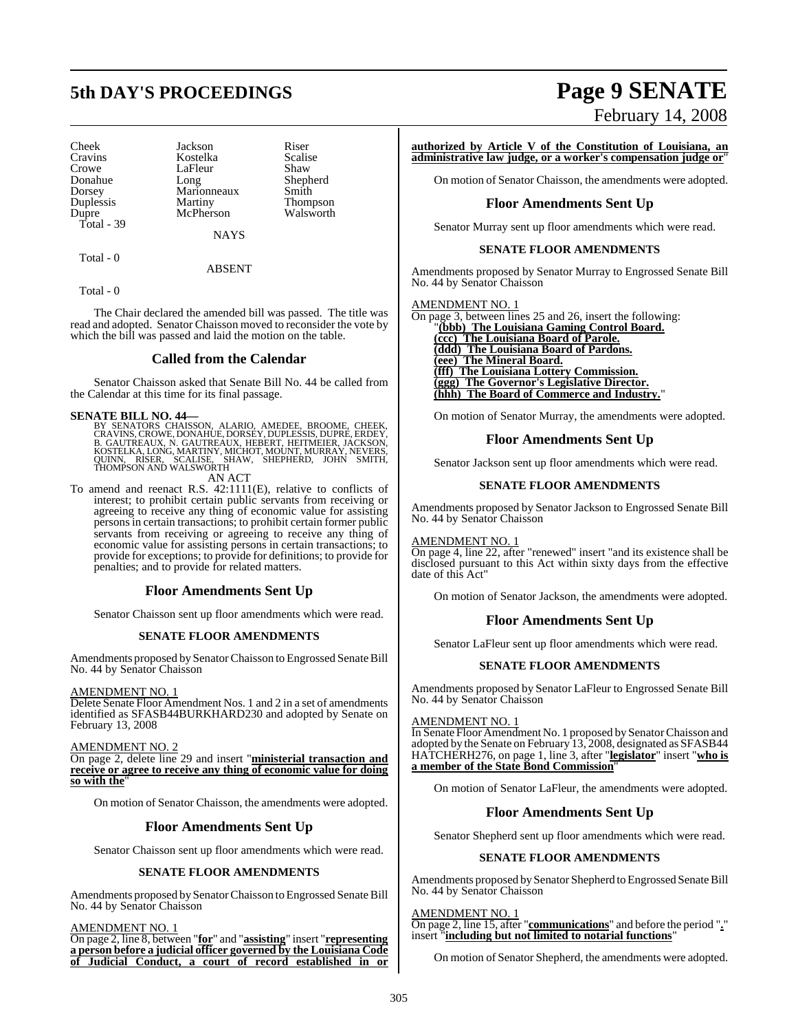# **5th DAY'S PROCEEDINGS Page 9 SENATE**

Cheek Jackson Riser<br>Cravins Kostelka Scalise Cravins Kostelka Scalise Crowe LaFleur<br>Donahue Long Donahue Long Shepherd Dorsey Marionneaux<br>
Duplessis Martiny Duplessis Martiny Thompson Total - 39

McPherson

**NAYS** 

ABSENT

Total - 0

Total - 0

The Chair declared the amended bill was passed. The title was read and adopted. Senator Chaisson moved to reconsider the vote by which the bill was passed and laid the motion on the table.

### **Called from the Calendar**

Senator Chaisson asked that Senate Bill No. 44 be called from the Calendar at this time for its final passage.

### **SENATE BILL NO. 44—**

BY SENATORS CHAISSON, ALARIO, AMEDEE, BROOME, CHEEK,<br>CRAVINS,CROWE,DONAHUE,DORSEY,DUPLESSIS,DUPRE,ERDEY,<br>B. GAUTREAUX, N. GAUTREAUX, HEBERT, HEITMEIER,JACKSON,<br>KOSTELKA,LONG,MARTINY,MICHOT,MOUNT,MURRAY,NEVERS,<br>QUINN, RISER

AN ACT

To amend and reenact R.S. 42:1111(E), relative to conflicts of interest; to prohibit certain public servants from receiving or agreeing to receive any thing of economic value for assisting personsin certain transactions; to prohibit certain former public servants from receiving or agreeing to receive any thing of economic value for assisting persons in certain transactions; to provide for exceptions; to provide for definitions; to provide for penalties; and to provide for related matters.

### **Floor Amendments Sent Up**

Senator Chaisson sent up floor amendments which were read.

### **SENATE FLOOR AMENDMENTS**

Amendments proposed by Senator Chaisson to Engrossed Senate Bill No. 44 by Senator Chaisson

### AMENDMENT NO. 1

Delete Senate Floor Amendment Nos. 1 and 2 in a set of amendments identified as SFASB44BURKHARD230 and adopted by Senate on February 13, 2008

AMENDMENT NO. 2

On page 2, delete line 29 and insert "**ministerial transaction and receive or agree to receive any thing of economic value for doing so with the**"

On motion of Senator Chaisson, the amendments were adopted.

### **Floor Amendments Sent Up**

Senator Chaisson sent up floor amendments which were read.

### **SENATE FLOOR AMENDMENTS**

Amendments proposed by Senator Chaisson to Engrossed Senate Bill No. 44 by Senator Chaisson

AMENDMENT NO. 1

On page 2, line 8, between "**for**" and "**assisting**" insert "**representing a person before a judicial officer governed by the Louisiana Code of Judicial Conduct, a court of record established in or**

# February 14, 2008

**authorized by Article V of the Constitution of Louisiana, an administrative law judge, or a worker's compensation judge or**"

On motion of Senator Chaisson, the amendments were adopted.

### **Floor Amendments Sent Up**

Senator Murray sent up floor amendments which were read.

### **SENATE FLOOR AMENDMENTS**

Amendments proposed by Senator Murray to Engrossed Senate Bill No. 44 by Senator Chaisson

AMENDMENT NO. 1

| (ccc) The Louisiana Board of Parole.<br><b>(ddd)</b> The Louisiana Board of Pardons.<br>(eee) The Mineral Board.<br><b>(fff)</b> The Louisiana Lottery Commission.<br>(ggg) The Governor's Legislative Director. | On page 3, between lines 25 and 26, insert the following: |
|------------------------------------------------------------------------------------------------------------------------------------------------------------------------------------------------------------------|-----------------------------------------------------------|
|                                                                                                                                                                                                                  | "(bbb) The Louisiana Gaming Control Board.                |
|                                                                                                                                                                                                                  |                                                           |
|                                                                                                                                                                                                                  |                                                           |
|                                                                                                                                                                                                                  |                                                           |
|                                                                                                                                                                                                                  |                                                           |
|                                                                                                                                                                                                                  |                                                           |
|                                                                                                                                                                                                                  | (hhh) The Board of Commerce and Industry."                |

On motion of Senator Murray, the amendments were adopted.

### **Floor Amendments Sent Up**

Senator Jackson sent up floor amendments which were read.

### **SENATE FLOOR AMENDMENTS**

Amendments proposed by Senator Jackson to Engrossed Senate Bill No. 44 by Senator Chaisson

### AMENDMENT NO. 1

On page 4, line 22, after "renewed" insert "and its existence shall be disclosed pursuant to this Act within sixty days from the effective date of this Act"

On motion of Senator Jackson, the amendments were adopted.

### **Floor Amendments Sent Up**

Senator LaFleur sent up floor amendments which were read.

### **SENATE FLOOR AMENDMENTS**

Amendments proposed by Senator LaFleur to Engrossed Senate Bill No. 44 by Senator Chaisson

### AMENDMENT NO. 1

In Senate Floor Amendment No. 1 proposed by SenatorChaisson and adopted by the Senate on February 13, 2008, designated as SFASB44 HATCHERH276, on page 1, line 3, after "**legislator**" insert "**who is a member of the State Bond Commission**"

On motion of Senator LaFleur, the amendments were adopted.

### **Floor Amendments Sent Up**

Senator Shepherd sent up floor amendments which were read.

### **SENATE FLOOR AMENDMENTS**

Amendments proposed bySenator Shepherd to Engrossed Senate Bill No. 44 by Senator Chaisson

### AMENDMENT NO. 1

On page 2, line 15, after "**communications**" and before the period "**.**" insert "**including but not limited to notarial functions**"

On motion of Senator Shepherd, the amendments were adopted.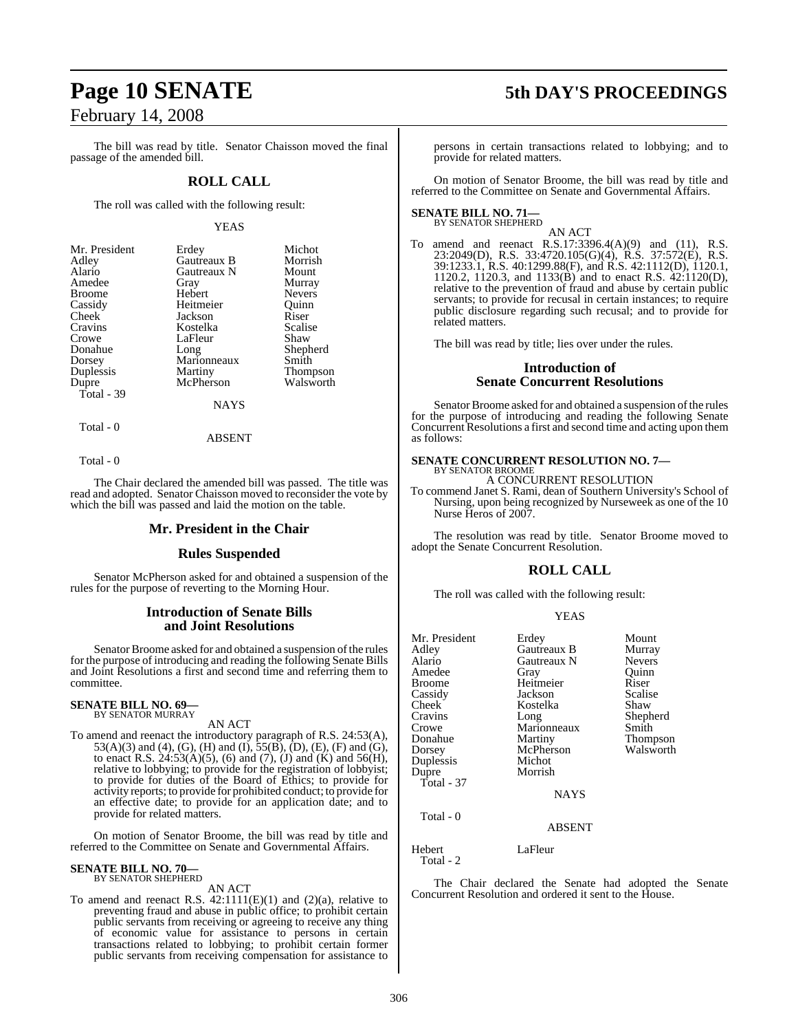The bill was read by title. Senator Chaisson moved the final passage of the amended bill.

### **ROLL CALL**

The roll was called with the following result:

### YEAS

| Mr. President<br>Erdey         | Michot        |
|--------------------------------|---------------|
| Gautreaux B<br>Adley           | Morrish       |
| Alario<br>Gautreaux N          | Mount         |
| Amedee<br>Gray                 | Murray        |
| Hebert<br><b>Broome</b>        | <b>Nevers</b> |
| Cassidy<br>Heitmeier<br>Ouinn  |               |
| Cheek<br>Jackson<br>Riser      |               |
| Cravins<br>Kostelka            | Scalise       |
| LaFleur<br>Shaw<br>Crowe       |               |
| Donahue<br>Long                | Shepherd      |
| Marionneaux<br>Smith<br>Dorsey |               |
| Duplessis<br>Martiny           | Thompson      |
| McPherson<br>Dupre             | Walsworth     |
| Total - 39                     |               |
| <b>NAYS</b>                    |               |

Total - 0

Total - 0

The Chair declared the amended bill was passed. The title was read and adopted. Senator Chaisson moved to reconsider the vote by which the bill was passed and laid the motion on the table.

ABSENT

### **Mr. President in the Chair**

### **Rules Suspended**

Senator McPherson asked for and obtained a suspension of the rules for the purpose of reverting to the Morning Hour.

### **Introduction of Senate Bills and Joint Resolutions**

Senator Broome asked for and obtained a suspension of the rules for the purpose of introducing and reading the following Senate Bills and Joint Resolutions a first and second time and referring them to committee.

### **SENATE BILL NO. 69—** BY SENATOR MURRAY

AN ACT

To amend and reenact the introductory paragraph of R.S. 24:53(A), 53(A)(3) and (4), (G), (H) and (I), 55(B), (D), (E), (F) and (G), to enact R.S. 24:53(A)(5), (6) and (7), (J) and (K) and 56(H), relative to lobbying; to provide for the registration of lobbyist; to provide for duties of the Board of Ethics; to provide for activity reports; to provide for prohibited conduct; to provide for an effective date; to provide for an application date; and to provide for related matters.

On motion of Senator Broome, the bill was read by title and referred to the Committee on Senate and Governmental Affairs.

### **SENATE BILL NO. 70—** BY SENATOR SHEPHERD

AN ACT

To amend and reenact R.S.  $42:1111(E)(1)$  and  $(2)(a)$ , relative to preventing fraud and abuse in public office; to prohibit certain public servants from receiving or agreeing to receive any thing of economic value for assistance to persons in certain transactions related to lobbying; to prohibit certain former public servants from receiving compensation for assistance to

# **Page 10 SENATE 5th DAY'S PROCEEDINGS**

persons in certain transactions related to lobbying; and to provide for related matters.

On motion of Senator Broome, the bill was read by title and referred to the Committee on Senate and Governmental Affairs.

### **SENATE BILL NO. 71—** BY SENATOR SHEPHERD

AN ACT To amend and reenact R.S.17:3396.4(A)(9) and (11), R.S. 23:2049(D), R.S. 33:4720.105(G)(4), R.S. 37:572(E), R.S. 39:1233.1, R.S. 40:1299.88(F), and R.S. 42:1112(D), 1120.1, 1120.2, 1120.3, and 1133(B) and to enact R.S. 42:1120(D), relative to the prevention of fraud and abuse by certain public servants; to provide for recusal in certain instances; to require public disclosure regarding such recusal; and to provide for related matters.

The bill was read by title; lies over under the rules.

### **Introduction of Senate Concurrent Resolutions**

Senator Broome asked for and obtained a suspension of the rules for the purpose of introducing and reading the following Senate Concurrent Resolutions a first and second time and acting upon them as follows:

### **SENATE CONCURRENT RESOLUTION NO. 7—** BY SENATOR BROOME

A CONCURRENT RESOLUTION

To commend Janet S. Rami, dean of Southern University's School of Nursing, upon being recognized by Nurseweek as one of the 10 Nurse Heros of 2007.

The resolution was read by title. Senator Broome moved to adopt the Senate Concurrent Resolution.

### **ROLL CALL**

The roll was called with the following result:

### YEAS

| Mr. President<br>Adley<br>Alario<br>Amedee<br><b>Broome</b><br>Cassidy<br>Cheek<br>Cravins<br>Crowe<br>Donahue<br>Dorsey | Erdey<br>Gautreaux B<br>Gautreaux N<br>Gray<br>Heitmeier<br>Jackson<br>Kostelka<br>Long<br>Marionneaux<br>Martiny<br>McPherson | Mount<br>Murray<br><b>Nevers</b><br>Ouinn<br>Riser<br>Scalise<br>Shaw<br>Shepherd<br>Smith<br><b>Thompson</b><br>Walsworth |
|--------------------------------------------------------------------------------------------------------------------------|--------------------------------------------------------------------------------------------------------------------------------|----------------------------------------------------------------------------------------------------------------------------|
| Duplessis<br>Dupre<br>Total - $37$                                                                                       | Morrish<br><b>NAYS</b>                                                                                                         |                                                                                                                            |
| Total - 0                                                                                                                | <b>ABSENT</b>                                                                                                                  |                                                                                                                            |
| Hebert                                                                                                                   | LaFleur                                                                                                                        |                                                                                                                            |

Total - 2

The Chair declared the Senate had adopted the Senate Concurrent Resolution and ordered it sent to the House.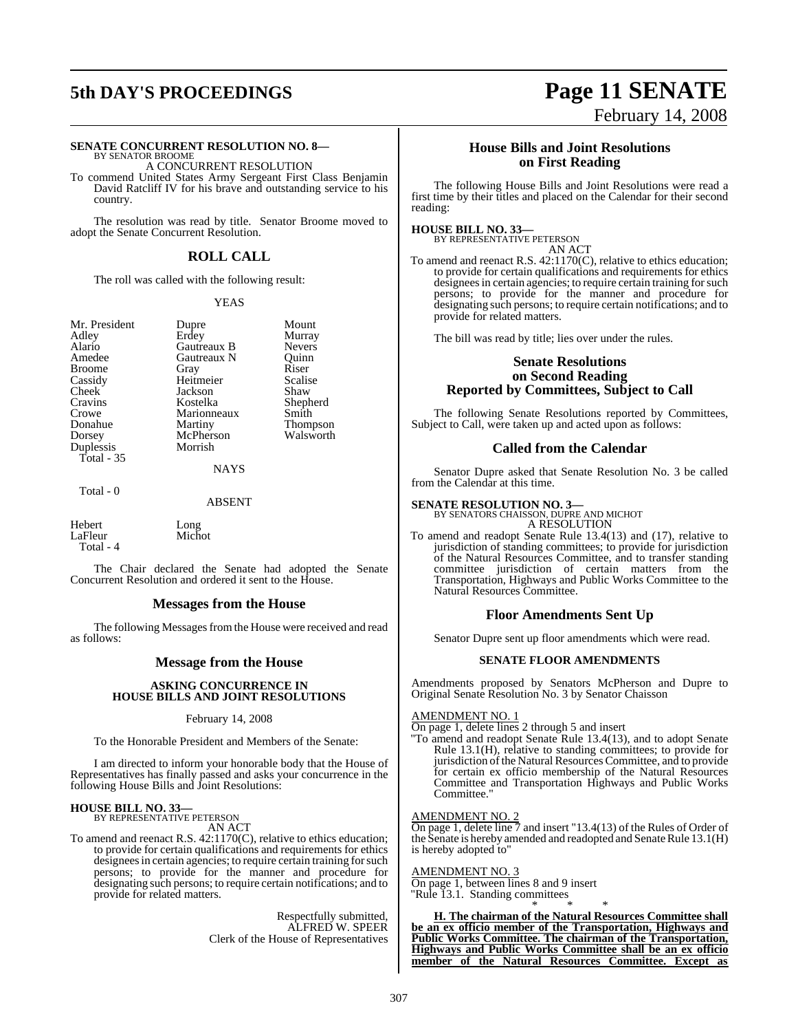# **5th DAY'S PROCEEDINGS Page 11 SENATE**

### **SENATE CONCURRENT RESOLUTION NO. 8—**

BY SENATOR BROOME A CONCURRENT RESOLUTION

To commend United States Army Sergeant First Class Benjamin David Ratcliff IV for his brave and outstanding service to his country.

The resolution was read by title. Senator Broome moved to adopt the Senate Concurrent Resolution.

### **ROLL CALL**

The roll was called with the following result:

### YEAS

Mr. President Dupre Mount<br>Adley Erdey Murray Adley Erdey Murray Alario Gautreaux B Nevers **Broome** Cassidy Heitmeier Scalise<br>Cheek Jackson Shaw Cheek Jackson<br>Cravins Kostelka Cravins Kostelka Shepherd Crowe Marionneaux Smith<br>
Donahue Martiny Thom Donahue Martiny Thompson<br>
Dorsey McPherson Walsworth Duplessis Total - 35

Gautreaux N Quinn<br>
Grav Riser McPherson Walsworth<br>Morrish

NAYS

Total - 0

### ABSENT

Hebert Long<br>
LaFleur Michot LaFleur Total - 4

The Chair declared the Senate had adopted the Senate Concurrent Resolution and ordered it sent to the House.

### **Messages from the House**

The following Messages from the House were received and read as follows:

### **Message from the House**

### **ASKING CONCURRENCE IN HOUSE BILLS AND JOINT RESOLUTIONS**

### February 14, 2008

To the Honorable President and Members of the Senate:

I am directed to inform your honorable body that the House of Representatives has finally passed and asks your concurrence in the following House Bills and Joint Resolutions:

# **HOUSE BILL NO. 33—** BY REPRESENTATIVE PETERSON

AN ACT

To amend and reenact R.S. 42:1170(C), relative to ethics education; to provide for certain qualifications and requirements for ethics designees in certain agencies; to require certain training for such persons; to provide for the manner and procedure for designating such persons; to require certain notifications; and to provide for related matters.

> Respectfully submitted, ALFRED W. SPEER Clerk of the House of Representatives

# February 14, 2008

### **House Bills and Joint Resolutions on First Reading**

The following House Bills and Joint Resolutions were read a first time by their titles and placed on the Calendar for their second reading:

### **HOUSE BILL NO. 33—**

BY REPRESENTATIVE PETERSON AN ACT

To amend and reenact R.S. 42:1170(C), relative to ethics education; to provide for certain qualifications and requirements for ethics designees in certain agencies; to require certain training for such persons; to provide for the manner and procedure for designating such persons; to require certain notifications; and to provide for related matters.

The bill was read by title; lies over under the rules.

### **Senate Resolutions on Second Reading Reported by Committees, Subject to Call**

The following Senate Resolutions reported by Committees, Subject to Call, were taken up and acted upon as follows:

### **Called from the Calendar**

Senator Dupre asked that Senate Resolution No. 3 be called from the Calendar at this time.

# **SENATE RESOLUTION NO. 3—** BY SENATORS CHAISSON, DUPRE AND MICHOT

A RESOLUTION

To amend and readopt Senate Rule 13.4(13) and (17), relative to jurisdiction of standing committees; to provide for jurisdiction of the Natural Resources Committee, and to transfer standing committee jurisdiction of certain matters from the Transportation, Highways and Public Works Committee to the Natural Resources Committee.

### **Floor Amendments Sent Up**

Senator Dupre sent up floor amendments which were read.

### **SENATE FLOOR AMENDMENTS**

Amendments proposed by Senators McPherson and Dupre to Original Senate Resolution No. 3 by Senator Chaisson

### AMENDMENT NO. 1

On page 1, delete lines 2 through 5 and insert

"To amend and readopt Senate Rule 13.4(13), and to adopt Senate Rule 13.1(H), relative to standing committees; to provide for jurisdiction of the Natural Resources Committee, and to provide for certain ex officio membership of the Natural Resources Committee and Transportation Highways and Public Works Committee."

### AMENDMENT NO. 2

On page 1, delete line 7 and insert "13.4(13) of the Rules of Order of the Senate is hereby amended and readopted and Senate Rule 13.1(H) is hereby adopted to"

AMENDMENT NO. 3

On page 1, between lines 8 and 9 insert "Rule 13.1. Standing committees \* \* \*

**H. The chairman of the Natural Resources Committee shall be an ex officio member of the Transportation, Highways and Public Works Committee. The chairman of the Transportation, Highways and Public Works Committee shall be an ex officio member of the Natural Resources Committee. Except as**